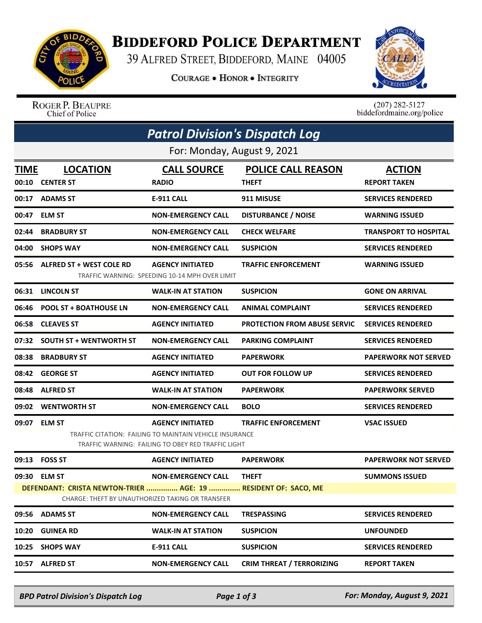

## **BIDDEFORD POLICE DEPARTMENT**

39 ALFRED STREET, BIDDEFORD, MAINE 04005

**COURAGE . HONOR . INTEGRITY** 



## ROGER P. BEAUPRE<br>Chief of Police

 $(207)$  282-5127<br>biddefordmaine.org/police

| <b>Patrol Division's Dispatch Log</b> |                                                                                |                                                                                                                                          |                                           |                                      |  |  |  |  |
|---------------------------------------|--------------------------------------------------------------------------------|------------------------------------------------------------------------------------------------------------------------------------------|-------------------------------------------|--------------------------------------|--|--|--|--|
| For: Monday, August 9, 2021           |                                                                                |                                                                                                                                          |                                           |                                      |  |  |  |  |
| <b>TIME</b><br>00:10                  | <b>LOCATION</b><br><b>CENTER ST</b>                                            | <b>CALL SOURCE</b><br><b>RADIO</b>                                                                                                       | <b>POLICE CALL REASON</b><br><b>THEFT</b> | <b>ACTION</b><br><b>REPORT TAKEN</b> |  |  |  |  |
| 00:17                                 | <b>ADAMS ST</b>                                                                | <b>E-911 CALL</b>                                                                                                                        | 911 MISUSE                                | <b>SERVICES RENDERED</b>             |  |  |  |  |
| 00:47                                 | <b>ELM ST</b>                                                                  | <b>NON-EMERGENCY CALL</b>                                                                                                                | <b>DISTURBANCE / NOISE</b>                | <b>WARNING ISSUED</b>                |  |  |  |  |
| 02:44                                 | <b>BRADBURY ST</b>                                                             | <b>NON-EMERGENCY CALL</b>                                                                                                                | <b>CHECK WELFARE</b>                      | <b>TRANSPORT TO HOSPITAL</b>         |  |  |  |  |
| 04:00                                 | <b>SHOPS WAY</b>                                                               | <b>NON-EMERGENCY CALL</b>                                                                                                                | <b>SUSPICION</b>                          | <b>SERVICES RENDERED</b>             |  |  |  |  |
| 05:56                                 | <b>ALFRED ST + WEST COLE RD</b>                                                | <b>AGENCY INITIATED</b><br>TRAFFIC WARNING: SPEEDING 10-14 MPH OVER LIMIT                                                                | <b>TRAFFIC ENFORCEMENT</b>                | <b>WARNING ISSUED</b>                |  |  |  |  |
| 06:31                                 | <b>LINCOLN ST</b>                                                              | <b>WALK-IN AT STATION</b>                                                                                                                | <b>SUSPICION</b>                          | <b>GONE ON ARRIVAL</b>               |  |  |  |  |
| 06:46                                 | <b>POOL ST + BOATHOUSE LN</b>                                                  | <b>NON-EMERGENCY CALL</b>                                                                                                                | <b>ANIMAL COMPLAINT</b>                   | <b>SERVICES RENDERED</b>             |  |  |  |  |
| 06:58                                 | <b>CLEAVES ST</b>                                                              | <b>AGENCY INITIATED</b>                                                                                                                  | <b>PROTECTION FROM ABUSE SERVIC</b>       | <b>SERVICES RENDERED</b>             |  |  |  |  |
| 07:32                                 | <b>SOUTH ST + WENTWORTH ST</b>                                                 | <b>NON-EMERGENCY CALL</b>                                                                                                                | <b>PARKING COMPLAINT</b>                  | <b>SERVICES RENDERED</b>             |  |  |  |  |
| 08:38                                 | <b>BRADBURY ST</b>                                                             | <b>AGENCY INITIATED</b>                                                                                                                  | <b>PAPERWORK</b>                          | <b>PAPERWORK NOT SERVED</b>          |  |  |  |  |
| 08:42                                 | <b>GEORGE ST</b>                                                               | <b>AGENCY INITIATED</b>                                                                                                                  | <b>OUT FOR FOLLOW UP</b>                  | <b>SERVICES RENDERED</b>             |  |  |  |  |
| 08:48                                 | <b>ALFRED ST</b>                                                               | <b>WALK-IN AT STATION</b>                                                                                                                | <b>PAPERWORK</b>                          | <b>PAPERWORK SERVED</b>              |  |  |  |  |
| 09:02                                 | <b>WENTWORTH ST</b>                                                            | <b>NON-EMERGENCY CALL</b>                                                                                                                | <b>BOLO</b>                               | <b>SERVICES RENDERED</b>             |  |  |  |  |
| 09:07                                 | <b>ELM ST</b>                                                                  | <b>AGENCY INITIATED</b><br>TRAFFIC CITATION: FAILING TO MAINTAIN VEHICLE INSURANCE<br>TRAFFIC WARNING: FAILING TO OBEY RED TRAFFIC LIGHT | <b>TRAFFIC ENFORCEMENT</b>                | <b>VSAC ISSUED</b>                   |  |  |  |  |
| 09:13                                 | <b>FOSS ST</b>                                                                 | <b>AGENCY INITIATED</b>                                                                                                                  | <b>PAPERWORK</b>                          | <b>PAPERWORK NOT SERVED</b>          |  |  |  |  |
|                                       | 09:30 ELM ST<br>DEFENDANT: CRISTA NEWTON-TRIER  AGE: 19  RESIDENT OF: SACO, ME | <b>NON-EMERGENCY CALL</b>                                                                                                                | <b>THEFT</b>                              | <b>SUMMONS ISSUED</b>                |  |  |  |  |
|                                       | <b>CHARGE: THEFT BY UNAUTHORIZED TAKING OR TRANSFER</b>                        |                                                                                                                                          |                                           |                                      |  |  |  |  |
|                                       | 09:56 ADAMS ST                                                                 | <b>NON-EMERGENCY CALL</b>                                                                                                                | <b>TRESPASSING</b>                        | <b>SERVICES RENDERED</b>             |  |  |  |  |
| 10:20                                 | <b>GUINEA RD</b>                                                               | <b>WALK-IN AT STATION</b>                                                                                                                | <b>SUSPICION</b>                          | <b>UNFOUNDED</b>                     |  |  |  |  |
| 10:25                                 | <b>SHOPS WAY</b>                                                               | E-911 CALL                                                                                                                               | <b>SUSPICION</b>                          | <b>SERVICES RENDERED</b>             |  |  |  |  |
| 10:57                                 | <b>ALFRED ST</b>                                                               | <b>NON-EMERGENCY CALL</b>                                                                                                                | <b>CRIM THREAT / TERRORIZING</b>          | <b>REPORT TAKEN</b>                  |  |  |  |  |

*BPD Patrol Division's Dispatch Log Page 1 of 3 For: Monday, August 9, 2021*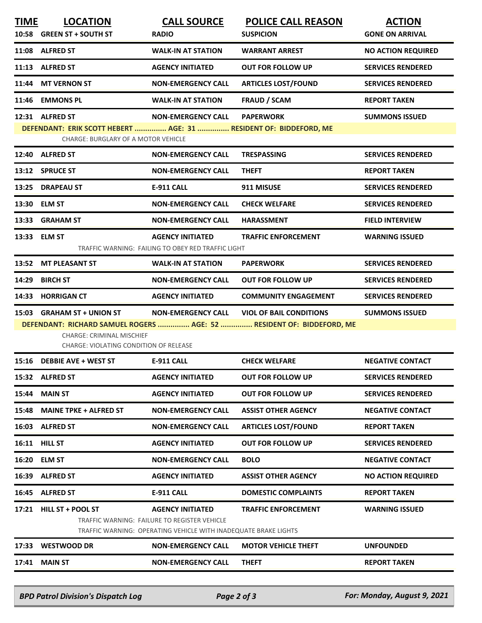| <b>TIME</b>                                                                                        | <b>LOCATION</b>                                                                                          | <b>CALL SOURCE</b>                                                                                              | <b>POLICE CALL REASON</b>      | <b>ACTION</b>             |  |  |  |  |
|----------------------------------------------------------------------------------------------------|----------------------------------------------------------------------------------------------------------|-----------------------------------------------------------------------------------------------------------------|--------------------------------|---------------------------|--|--|--|--|
|                                                                                                    | 10:58 GREEN ST + SOUTH ST                                                                                | <b>RADIO</b>                                                                                                    | <b>SUSPICION</b>               | <b>GONE ON ARRIVAL</b>    |  |  |  |  |
|                                                                                                    | 11:08 ALFRED ST                                                                                          | <b>WALK-IN AT STATION</b>                                                                                       | <b>WARRANT ARREST</b>          | <b>NO ACTION REQUIRED</b> |  |  |  |  |
|                                                                                                    | 11:13 ALFRED ST                                                                                          | <b>AGENCY INITIATED</b>                                                                                         | <b>OUT FOR FOLLOW UP</b>       | <b>SERVICES RENDERED</b>  |  |  |  |  |
| 11:44                                                                                              | <b>MT VERNON ST</b>                                                                                      | <b>NON-EMERGENCY CALL</b>                                                                                       | <b>ARTICLES LOST/FOUND</b>     | <b>SERVICES RENDERED</b>  |  |  |  |  |
| 11:46                                                                                              | <b>EMMONS PL</b>                                                                                         | <b>WALK-IN AT STATION</b>                                                                                       | <b>FRAUD / SCAM</b>            | <b>REPORT TAKEN</b>       |  |  |  |  |
|                                                                                                    | 12:31 ALFRED ST                                                                                          | <b>NON-EMERGENCY CALL</b>                                                                                       | <b>PAPERWORK</b>               | <b>SUMMONS ISSUED</b>     |  |  |  |  |
|                                                                                                    | DEFENDANT: ERIK SCOTT HEBERT  AGE: 31  RESIDENT OF: BIDDEFORD, ME<br>CHARGE: BURGLARY OF A MOTOR VEHICLE |                                                                                                                 |                                |                           |  |  |  |  |
|                                                                                                    | 12:40 ALFRED ST                                                                                          | <b>NON-EMERGENCY CALL</b>                                                                                       | <b>TRESPASSING</b>             | <b>SERVICES RENDERED</b>  |  |  |  |  |
|                                                                                                    | 13:12 SPRUCE ST                                                                                          | <b>NON-EMERGENCY CALL</b>                                                                                       | <b>THEFT</b>                   | <b>REPORT TAKEN</b>       |  |  |  |  |
| 13:25                                                                                              | <b>DRAPEAU ST</b>                                                                                        | <b>E-911 CALL</b>                                                                                               | 911 MISUSE                     | <b>SERVICES RENDERED</b>  |  |  |  |  |
| 13:30                                                                                              | <b>ELM ST</b>                                                                                            | <b>NON-EMERGENCY CALL</b>                                                                                       | <b>CHECK WELFARE</b>           | <b>SERVICES RENDERED</b>  |  |  |  |  |
| 13:33                                                                                              | <b>GRAHAM ST</b>                                                                                         | <b>NON-EMERGENCY CALL</b>                                                                                       | <b>HARASSMENT</b>              | <b>FIELD INTERVIEW</b>    |  |  |  |  |
|                                                                                                    | 13:33 ELM ST                                                                                             | <b>AGENCY INITIATED</b>                                                                                         | <b>TRAFFIC ENFORCEMENT</b>     | <b>WARNING ISSUED</b>     |  |  |  |  |
|                                                                                                    |                                                                                                          | TRAFFIC WARNING: FAILING TO OBEY RED TRAFFIC LIGHT                                                              |                                |                           |  |  |  |  |
|                                                                                                    | 13:52 MT PLEASANT ST                                                                                     | <b>WALK-IN AT STATION</b>                                                                                       | <b>PAPERWORK</b>               | <b>SERVICES RENDERED</b>  |  |  |  |  |
| 14:29                                                                                              | <b>BIRCH ST</b>                                                                                          | <b>NON-EMERGENCY CALL</b>                                                                                       | <b>OUT FOR FOLLOW UP</b>       | <b>SERVICES RENDERED</b>  |  |  |  |  |
| 14:33                                                                                              | <b>HORRIGAN CT</b>                                                                                       | <b>AGENCY INITIATED</b>                                                                                         | <b>COMMUNITY ENGAGEMENT</b>    | <b>SERVICES RENDERED</b>  |  |  |  |  |
|                                                                                                    | 15:03 GRAHAM ST + UNION ST                                                                               | <b>NON-EMERGENCY CALL</b>                                                                                       | <b>VIOL OF BAIL CONDITIONS</b> | <b>SUMMONS ISSUED</b>     |  |  |  |  |
| DEFENDANT: RICHARD SAMUEL ROGERS  AGE: 52  RESIDENT OF: BIDDEFORD, ME<br>CHARGE: CRIMINAL MISCHIEF |                                                                                                          |                                                                                                                 |                                |                           |  |  |  |  |
|                                                                                                    | CHARGE: VIOLATING CONDITION OF RELEASE                                                                   |                                                                                                                 |                                |                           |  |  |  |  |
|                                                                                                    | 15:16 DEBBIE AVE + WEST ST                                                                               | <b>E-911 CALL</b>                                                                                               | <b>CHECK WELFARE</b>           | <b>NEGATIVE CONTACT</b>   |  |  |  |  |
|                                                                                                    | 15:32 ALFRED ST                                                                                          | <b>AGENCY INITIATED</b>                                                                                         | <b>OUT FOR FOLLOW UP</b>       | <b>SERVICES RENDERED</b>  |  |  |  |  |
| 15:44                                                                                              | <b>MAIN ST</b>                                                                                           | <b>AGENCY INITIATED</b>                                                                                         | <b>OUT FOR FOLLOW UP</b>       | <b>SERVICES RENDERED</b>  |  |  |  |  |
| 15:48                                                                                              | <b>MAINE TPKE + ALFRED ST</b>                                                                            | <b>NON-EMERGENCY CALL</b>                                                                                       | <b>ASSIST OTHER AGENCY</b>     | <b>NEGATIVE CONTACT</b>   |  |  |  |  |
| 16:03                                                                                              | <b>ALFRED ST</b>                                                                                         | <b>NON-EMERGENCY CALL</b>                                                                                       | <b>ARTICLES LOST/FOUND</b>     | <b>REPORT TAKEN</b>       |  |  |  |  |
|                                                                                                    | 16:11 HILL ST                                                                                            | <b>AGENCY INITIATED</b>                                                                                         | <b>OUT FOR FOLLOW UP</b>       | <b>SERVICES RENDERED</b>  |  |  |  |  |
| 16:20                                                                                              | <b>ELM ST</b>                                                                                            | <b>NON-EMERGENCY CALL</b>                                                                                       | <b>BOLO</b>                    | <b>NEGATIVE CONTACT</b>   |  |  |  |  |
| 16:39                                                                                              | <b>ALFRED ST</b>                                                                                         | <b>AGENCY INITIATED</b>                                                                                         | <b>ASSIST OTHER AGENCY</b>     | <b>NO ACTION REQUIRED</b> |  |  |  |  |
|                                                                                                    | 16:45 ALFRED ST                                                                                          | <b>E-911 CALL</b>                                                                                               | <b>DOMESTIC COMPLAINTS</b>     | <b>REPORT TAKEN</b>       |  |  |  |  |
| 17:21                                                                                              | <b>HILL ST + POOL ST</b>                                                                                 | <b>AGENCY INITIATED</b>                                                                                         | <b>TRAFFIC ENFORCEMENT</b>     | <b>WARNING ISSUED</b>     |  |  |  |  |
|                                                                                                    |                                                                                                          | TRAFFIC WARNING: FAILURE TO REGISTER VEHICLE<br>TRAFFIC WARNING: OPERATING VEHICLE WITH INADEQUATE BRAKE LIGHTS |                                |                           |  |  |  |  |
| 17:33                                                                                              | <b>WESTWOOD DR</b>                                                                                       | <b>NON-EMERGENCY CALL</b>                                                                                       | <b>MOTOR VEHICLE THEFT</b>     | <b>UNFOUNDED</b>          |  |  |  |  |
|                                                                                                    | 17:41 MAIN ST                                                                                            | <b>NON-EMERGENCY CALL</b>                                                                                       | <b>THEFT</b>                   | <b>REPORT TAKEN</b>       |  |  |  |  |
|                                                                                                    |                                                                                                          |                                                                                                                 |                                |                           |  |  |  |  |